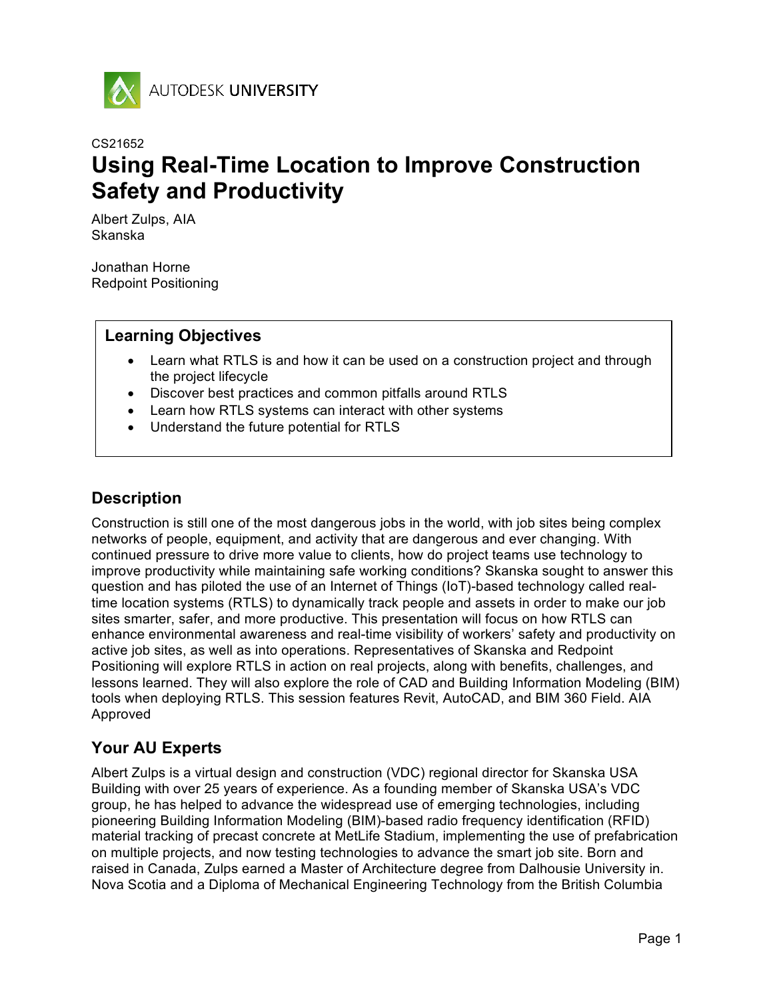

## CS21652 **Using Real-Time Location to Improve Construction Safety and Productivity**

Albert Zulps, AIA Skanska

Jonathan Horne Redpoint Positioning

#### **Learning Objectives**

- Learn what RTLS is and how it can be used on a construction project and through the project lifecycle
- Discover best practices and common pitfalls around RTLS
- Learn how RTLS systems can interact with other systems
- Understand the future potential for RTLS

## **Description**

Construction is still one of the most dangerous jobs in the world, with job sites being complex networks of people, equipment, and activity that are dangerous and ever changing. With continued pressure to drive more value to clients, how do project teams use technology to improve productivity while maintaining safe working conditions? Skanska sought to answer this question and has piloted the use of an Internet of Things (IoT)-based technology called realtime location systems (RTLS) to dynamically track people and assets in order to make our job sites smarter, safer, and more productive. This presentation will focus on how RTLS can enhance environmental awareness and real-time visibility of workers' safety and productivity on active job sites, as well as into operations. Representatives of Skanska and Redpoint Positioning will explore RTLS in action on real projects, along with benefits, challenges, and lessons learned. They will also explore the role of CAD and Building Information Modeling (BIM) tools when deploying RTLS. This session features Revit, AutoCAD, and BIM 360 Field. AIA Approved

### **Your AU Experts**

Albert Zulps is a virtual design and construction (VDC) regional director for Skanska USA Building with over 25 years of experience. As a founding member of Skanska USA's VDC group, he has helped to advance the widespread use of emerging technologies, including pioneering Building Information Modeling (BIM)-based radio frequency identification (RFID) material tracking of precast concrete at MetLife Stadium, implementing the use of prefabrication on multiple projects, and now testing technologies to advance the smart job site. Born and raised in Canada, Zulps earned a Master of Architecture degree from Dalhousie University in. Nova Scotia and a Diploma of Mechanical Engineering Technology from the British Columbia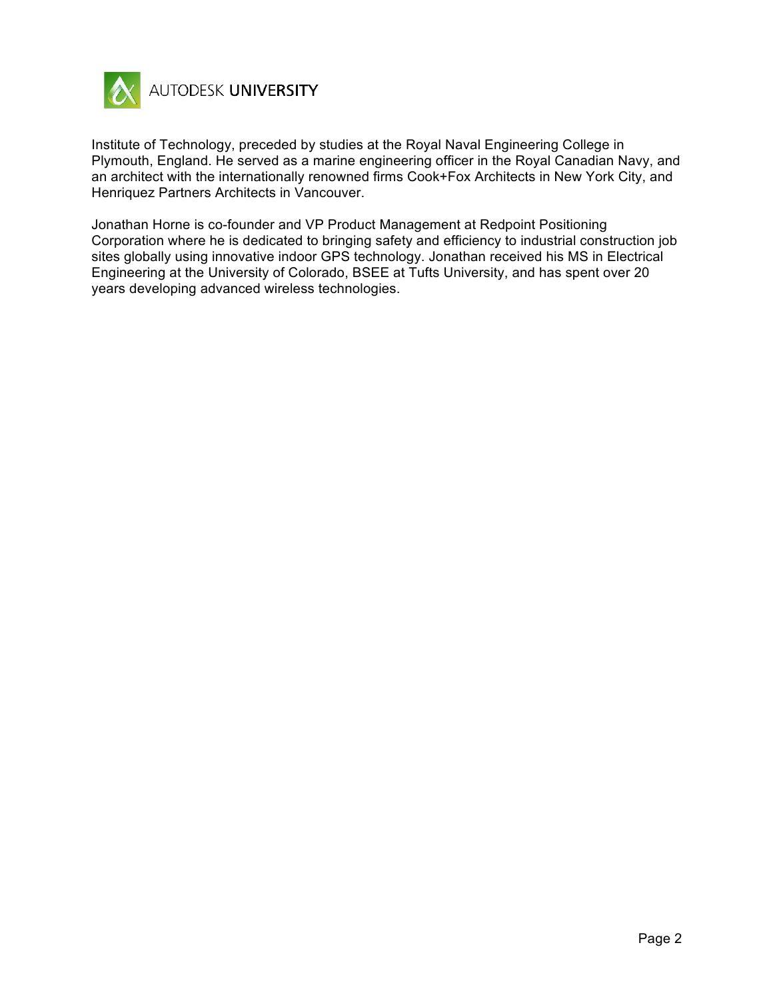

Institute of Technology, preceded by studies at the Royal Naval Engineering College in Plymouth, England. He served as a marine engineering officer in the Royal Canadian Navy, and an architect with the internationally renowned firms Cook+Fox Architects in New York City, and Henriquez Partners Architects in Vancouver.

Jonathan Horne is co-founder and VP Product Management at Redpoint Positioning Corporation where he is dedicated to bringing safety and efficiency to industrial construction job sites globally using innovative indoor GPS technology. Jonathan received his MS in Electrical Engineering at the University of Colorado, BSEE at Tufts University, and has spent over 20 years developing advanced wireless technologies.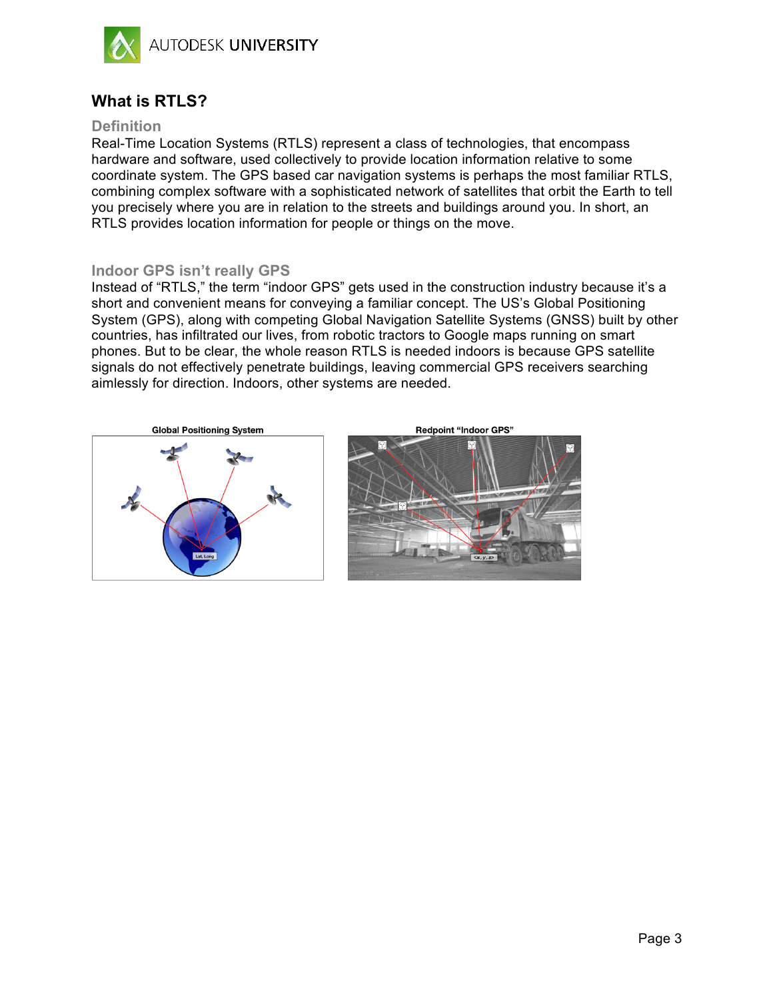

### **What is RTLS?**

#### **Definition**

Real-Time Location Systems (RTLS) represent a class of technologies, that encompass hardware and software, used collectively to provide location information relative to some coordinate system. The GPS based car navigation systems is perhaps the most familiar RTLS, combining complex software with a sophisticated network of satellites that orbit the Earth to tell you precisely where you are in relation to the streets and buildings around you. In short, an RTLS provides location information for people or things on the move.

#### **Indoor GPS isn't really GPS**

Instead of "RTLS," the term "indoor GPS" gets used in the construction industry because it's a short and convenient means for conveying a familiar concept. The US's Global Positioning System (GPS), along with competing Global Navigation Satellite Systems (GNSS) built by other countries, has infiltrated our lives, from robotic tractors to Google maps running on smart phones. But to be clear, the whole reason RTLS is needed indoors is because GPS satellite signals do not effectively penetrate buildings, leaving commercial GPS receivers searching aimlessly for direction. Indoors, other systems are needed.





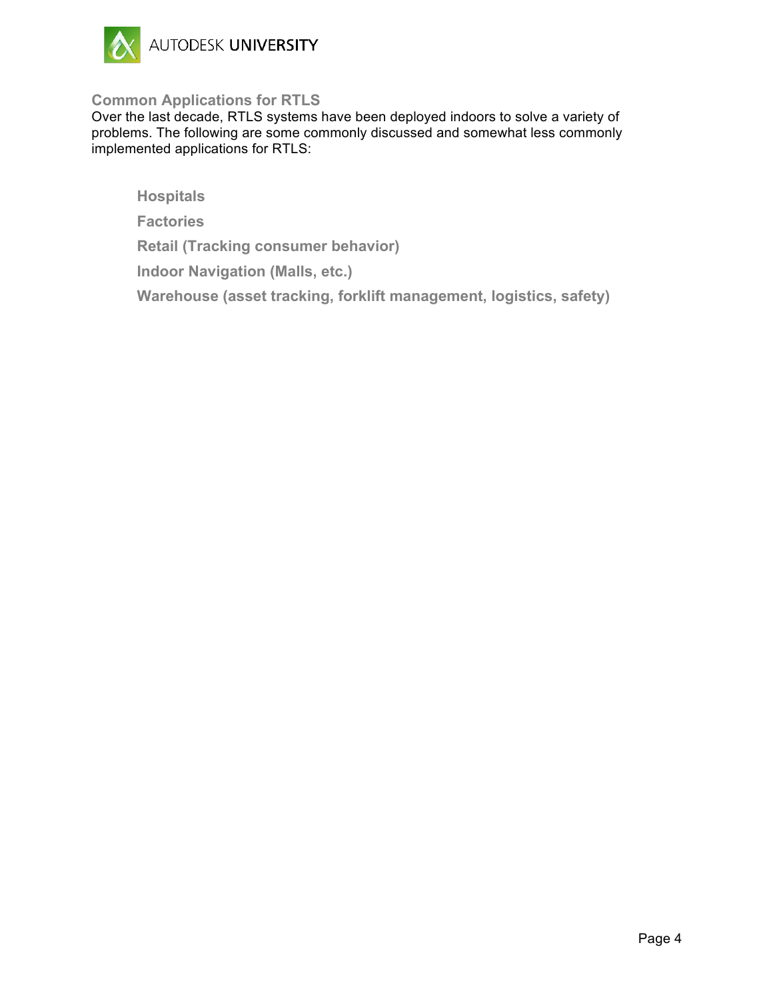

#### **Common Applications for RTLS**

Over the last decade, RTLS systems have been deployed indoors to solve a variety of problems. The following are some commonly discussed and somewhat less commonly implemented applications for RTLS:

**Hospitals**

**Factories**

**Retail (Tracking consumer behavior)**

**Indoor Navigation (Malls, etc.)**

**Warehouse (asset tracking, forklift management, logistics, safety)**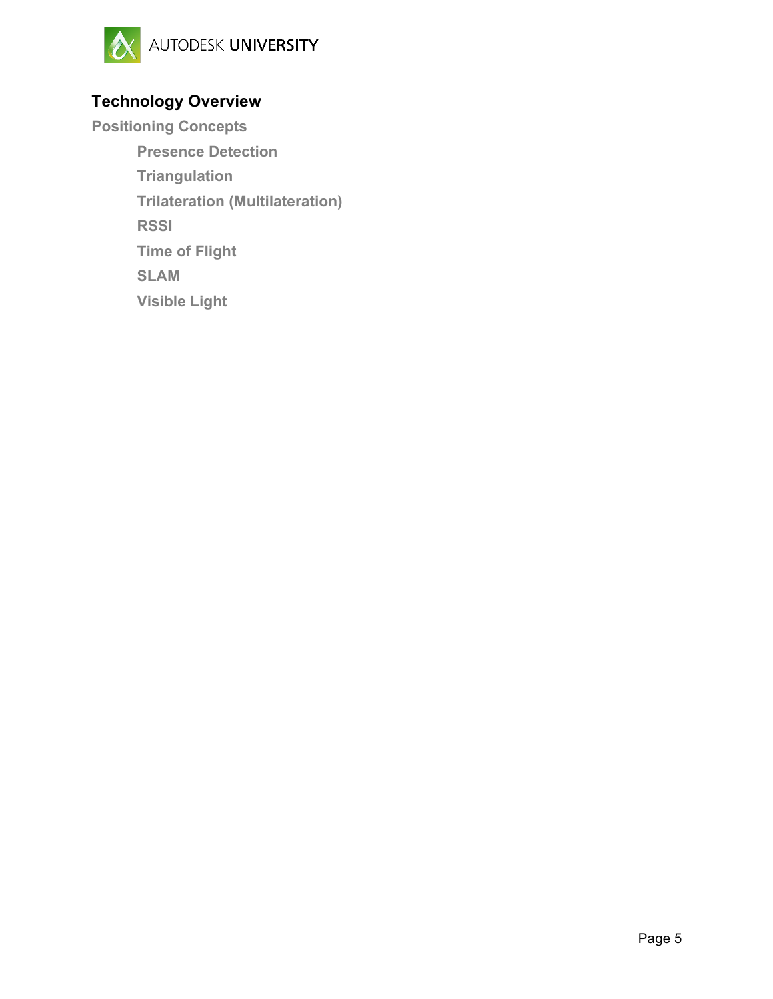

# **Technology Overview**

**Positioning Concepts Presence Detection Triangulation Trilateration (Multilateration) RSSI Time of Flight SLAM Visible Light**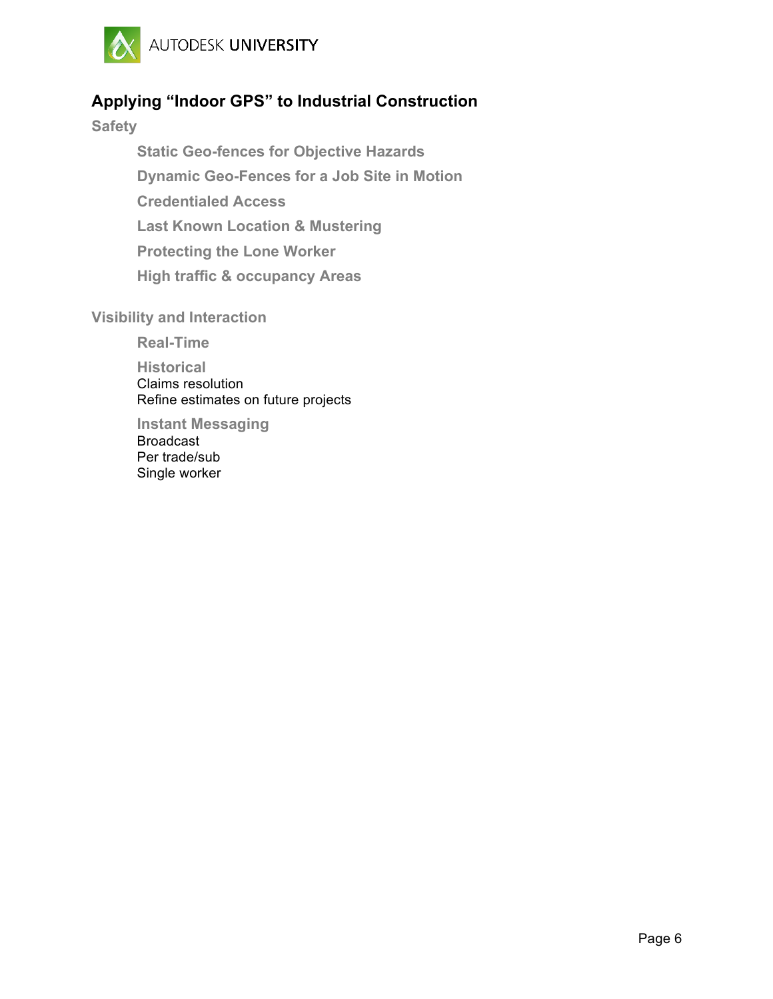

## **Applying "Indoor GPS" to Industrial Construction**

**Safety**

**Static Geo-fences for Objective Hazards Dynamic Geo-Fences for a Job Site in Motion Credentialed Access Last Known Location & Mustering Protecting the Lone Worker High traffic & occupancy Areas**

#### **Visibility and Interaction**

**Real-Time**

**Historical** Claims resolution Refine estimates on future projects

**Instant Messaging** Broadcast Per trade/sub Single worker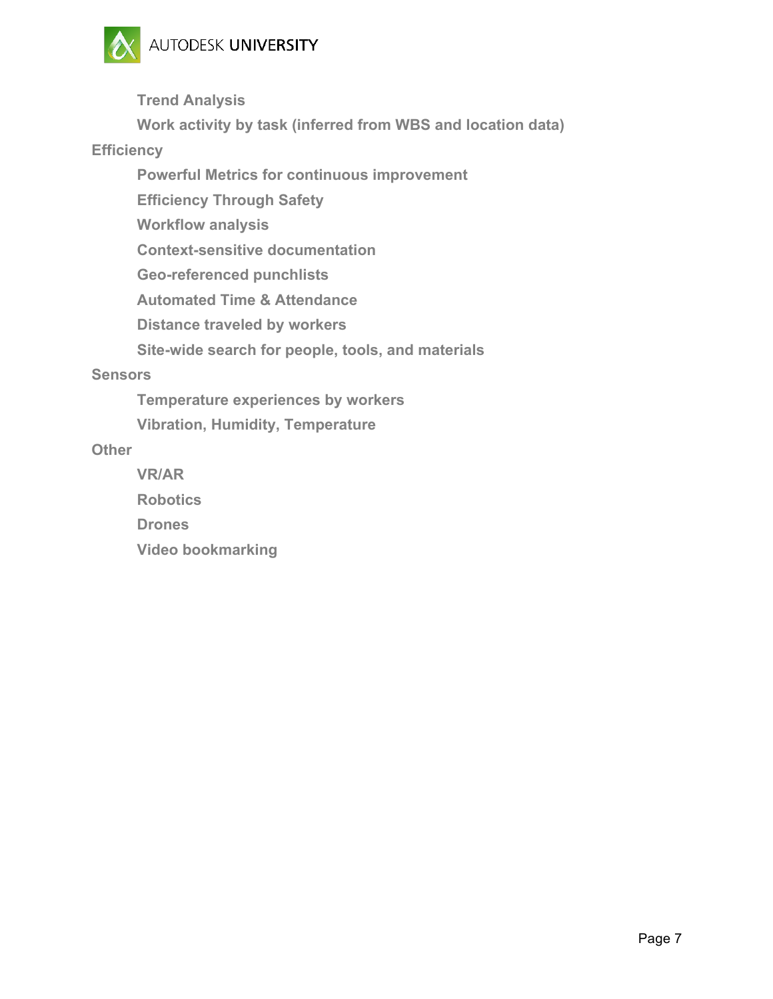

**Trend Analysis**

**Work activity by task (inferred from WBS and location data)**

**Efficiency**

**Powerful Metrics for continuous improvement**

**Efficiency Through Safety**

**Workflow analysis**

**Context-sensitive documentation**

**Geo-referenced punchlists**

**Automated Time & Attendance**

**Distance traveled by workers**

**Site-wide search for people, tools, and materials**

#### **Sensors**

**Temperature experiences by workers**

**Vibration, Humidity, Temperature**

#### **Other**

**VR/AR Robotics Drones Video bookmarking**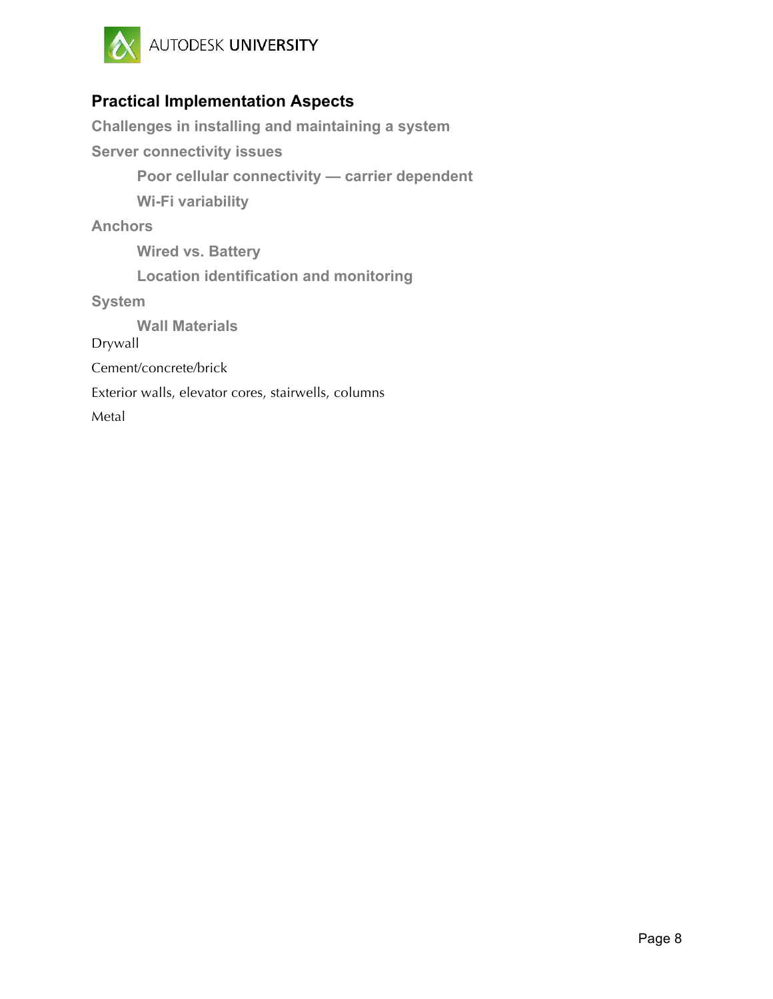

### **Practical Implementation Aspects**

**Challenges in installing and maintaining a system Server connectivity issues Poor cellular connectivity — carrier dependent Wi-Fi variability Anchors Wired vs. Battery Location identification and monitoring System Wall Materials** Drywall Cement/concrete/brick Exterior walls, elevator cores, stairwells, columns Metal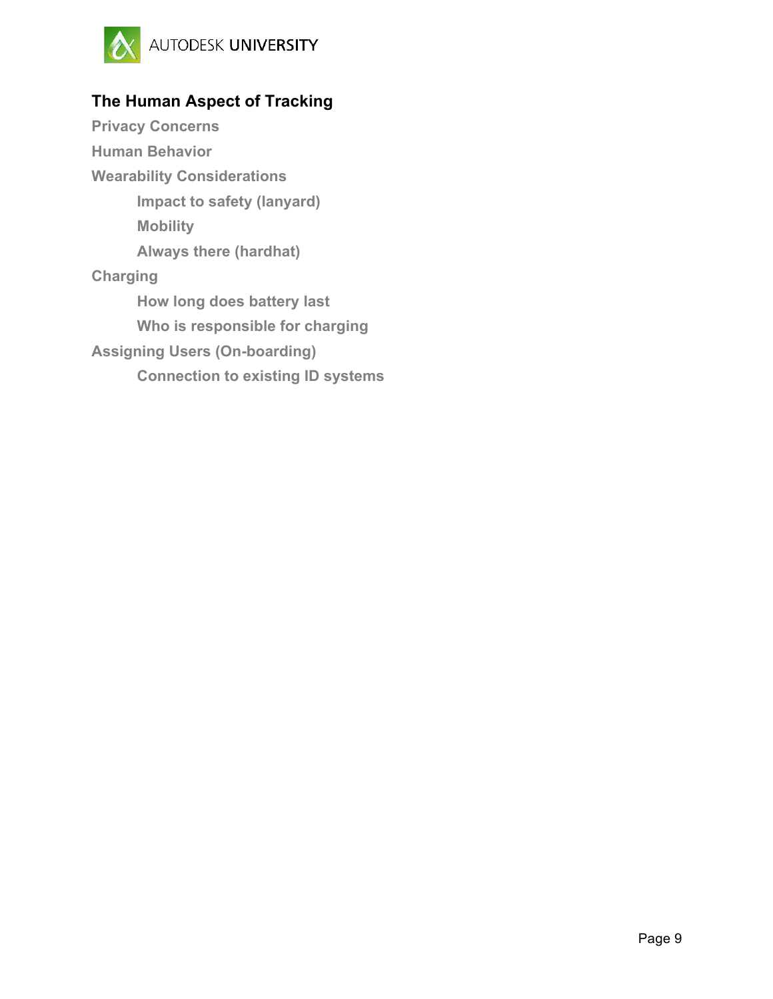

# **The Human Aspect of Tracking**

**Privacy Concerns Human Behavior Wearability Considerations Impact to safety (lanyard) Mobility Always there (hardhat) Charging How long does battery last Who is responsible for charging Assigning Users (On-boarding) Connection to existing ID systems**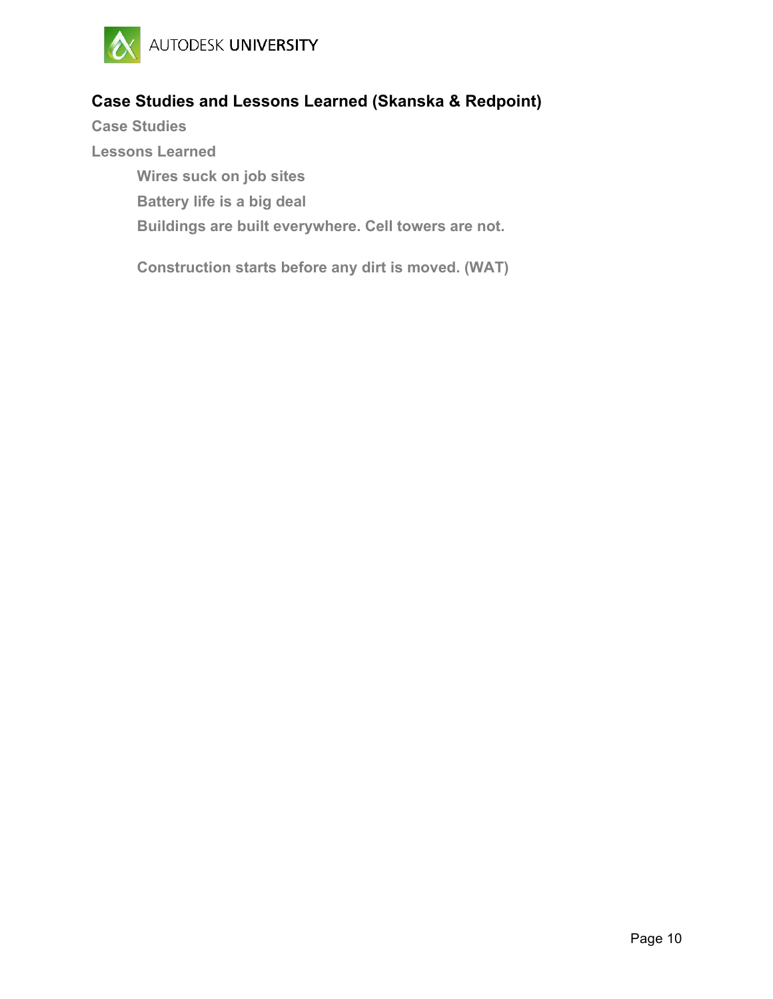

## **Case Studies and Lessons Learned (Skanska & Redpoint)**

**Case Studies Lessons Learned Wires suck on job sites Battery life is a big deal Buildings are built everywhere. Cell towers are not.**

**Construction starts before any dirt is moved. (WAT)**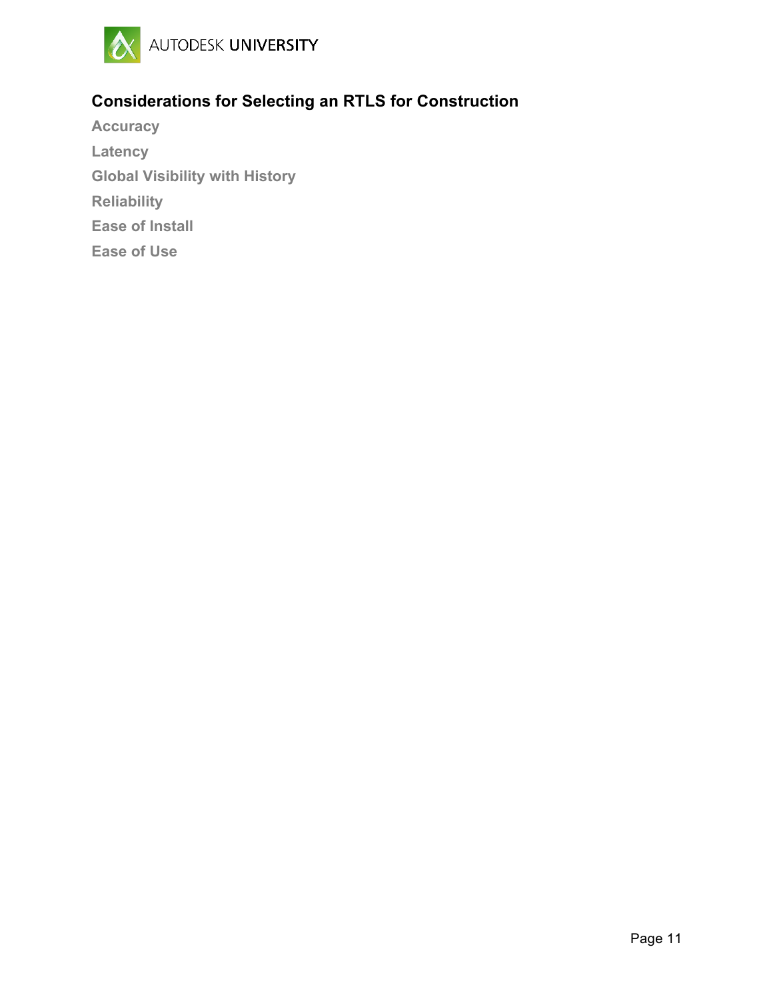

# **Considerations for Selecting an RTLS for Construction**

**Accuracy Latency Global Visibility with History Reliability Ease of Install Ease of Use**